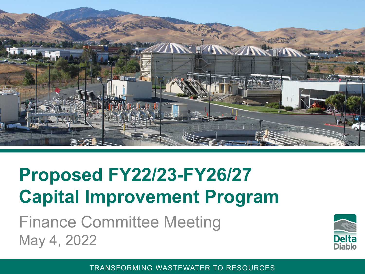

# **Proposed FY22/23-FY26/27 Capital Improvement Program**

Finance Committee Meeting May 4, 2022

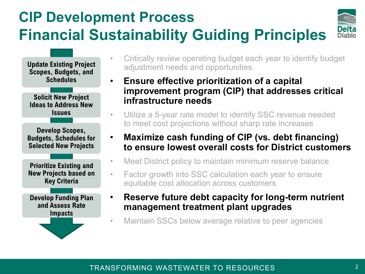### **CIP Development Process Financial Sustainability Guiding Principles**



**Develop Scopes, Budgets, Schedules for Selected New Projects Solicit New Project Ideas to Address New Issues Update Existing Project Scopes, Budgets, and Schedules Prioritize Existing and New Projects based on Key Criteria Develop Funding Plan and Assess Rate Impacts**

- Critically review operating budget each year to identify budget adjustment needs and opportunities
- **Ensure effective prioritization of a capital improvement program (CIP) that addresses critical infrastructure needs**
- Utilize a 5-year rate model to identify SSC revenue needed to meet cost projections without sharp rate increases
- **Maximize cash funding of CIP (vs. debt financing) to ensure lowest overall costs for District customers**
- Meet District policy to maintain minimum reserve balance
- Factor growth into SSC calculation each year to ensure equitable cost allocation across customers
- **Reserve future debt capacity for long-term nutrient management treatment plant upgrades**
- Maintain SSCs below average relative to peer agencies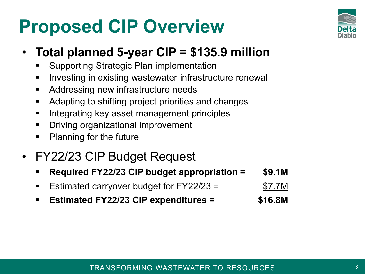# **Proposed CIP Overview**



### • **Total planned 5-year CIP = \$135.9 million**

- Supporting Strategic Plan implementation
- **Investing in existing wastewater infrastructure renewally**
- **Addressing new infrastructure needs**
- Adapting to shifting project priorities and changes
- **Integrating key asset management principles**
- **•** Driving organizational improvement
- Planning for the future

### • FY22/23 CIP Budget Request

- **Required FY22/23 CIP budget appropriation = \$9.1M**
- Estimated carryover budget for FY22/23 = \$7.7M
- **Estimated FY22/23 CIP expenditures = \$16.8M**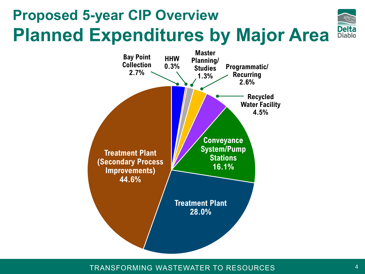# **Proposed 5-year CIP Overview Planned Expenditures by Major Area**



TRANSFORMING WASTEWATER TO RESOURCES

Delta<br>Diablo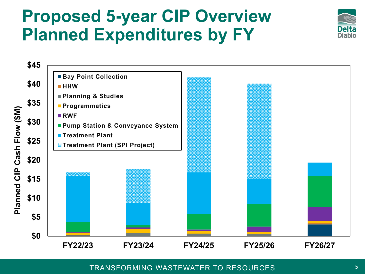## **Proposed 5-year CIP Overview Planned Expenditures by FY**



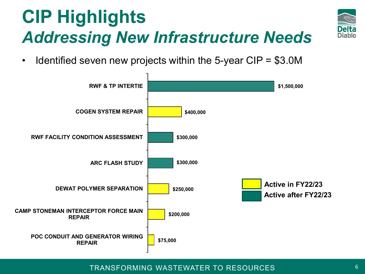# **CIP Highlights** *Addressing New Infrastructure Needs*



• Identified seven new projects within the 5-year CIP = \$3.0M

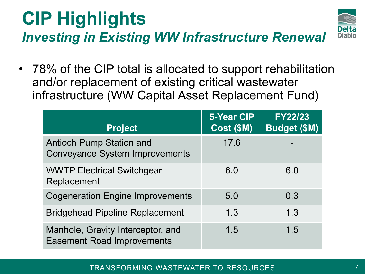### **CIP Highlights** *Investing in Existing WW Infrastructure Renewal*



• 78% of the CIP total is allocated to support rehabilitation and/or replacement of existing critical wastewater infrastructure (WW Capital Asset Replacement Fund)

| <b>Project</b>                                                           | <b>5-Year CIP</b><br>Cost (\$M) | <b>FY22/23</b><br><b>Budget (\$M)</b> |
|--------------------------------------------------------------------------|---------------------------------|---------------------------------------|
| <b>Antioch Pump Station and</b><br><b>Conveyance System Improvements</b> | 17.6                            |                                       |
| <b>WWTP Electrical Switchgear</b><br>Replacement                         | 6.0                             | 6.0                                   |
| <b>Cogeneration Engine Improvements</b>                                  | 5.0                             | 0.3                                   |
| <b>Bridgehead Pipeline Replacement</b>                                   | 1.3                             | 1.3                                   |
| Manhole, Gravity Interceptor, and<br><b>Easement Road Improvements</b>   | 1.5                             | 1.5                                   |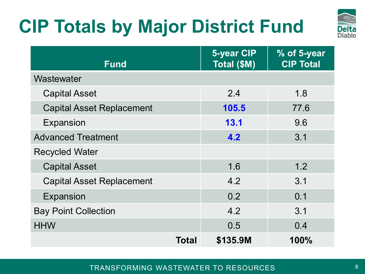# **CIP Totals by Major District Fund**



| <b>Fund</b>                      | <b>5-year CIP</b><br>Total (\$M) | % of 5-year<br><b>CIP Total</b> |
|----------------------------------|----------------------------------|---------------------------------|
| Wastewater                       |                                  |                                 |
| <b>Capital Asset</b>             | 2.4                              | 1.8                             |
| <b>Capital Asset Replacement</b> | 105.5                            | 77.6                            |
| Expansion                        | 13.1                             | 9.6                             |
| <b>Advanced Treatment</b>        | 4.2                              | 3.1                             |
| <b>Recycled Water</b>            |                                  |                                 |
| <b>Capital Asset</b>             | 1.6                              | 1.2                             |
| <b>Capital Asset Replacement</b> | 4.2                              | 3.1                             |
| Expansion                        | 0.2                              | 0.1                             |
| <b>Bay Point Collection</b>      | 4.2                              | 3.1                             |
| <b>HHW</b>                       | 0.5                              | 0.4                             |
| Total                            | \$135.9M                         | 100%                            |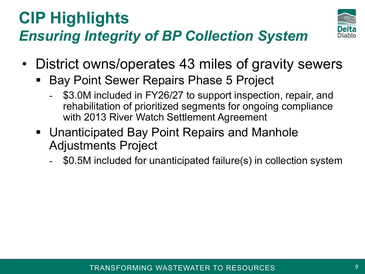### **CIP Highlights** *Ensuring Integrity of BP Collection System*



- District owns/operates 43 miles of gravity sewers
	- **Bay Point Sewer Repairs Phase 5 Project** 
		- \$3.0M included in FY26/27 to support inspection, repair, and rehabilitation of prioritized segments for ongoing compliance with 2013 River Watch Settlement Agreement
	- Unanticipated Bay Point Repairs and Manhole Adjustments Project
		- \$0.5M included for unanticipated failure(s) in collection system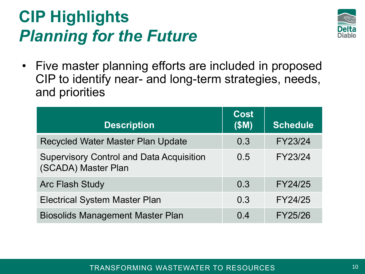## **CIP Highlights** *Planning for the Future*



• Five master planning efforts are included in proposed CIP to identify near- and long-term strategies, needs, and priorities

| <b>Description</b>                                                     | <b>Cost</b><br>(SM) | <b>Schedule</b> |
|------------------------------------------------------------------------|---------------------|-----------------|
| <b>Recycled Water Master Plan Update</b>                               | 0.3                 | FY23/24         |
| <b>Supervisory Control and Data Acquisition</b><br>(SCADA) Master Plan | 0.5                 | FY23/24         |
| <b>Arc Flash Study</b>                                                 | 0.3                 | FY24/25         |
| <b>Electrical System Master Plan</b>                                   | 0.3                 | FY24/25         |
| <b>Biosolids Management Master Plan</b>                                | 0.4                 | FY25/26         |